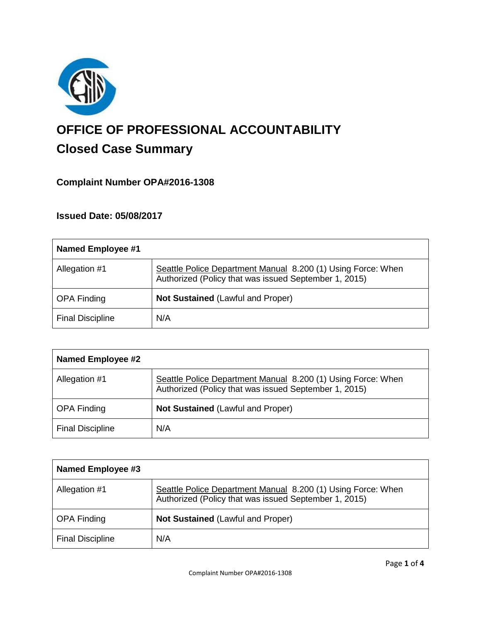

# **OFFICE OF PROFESSIONAL ACCOUNTABILITY Closed Case Summary**

# **Complaint Number OPA#2016-1308**

# **Issued Date: 05/08/2017**

| <b>Named Employee #1</b> |                                                                                                                       |
|--------------------------|-----------------------------------------------------------------------------------------------------------------------|
| Allegation #1            | Seattle Police Department Manual 8.200 (1) Using Force: When<br>Authorized (Policy that was issued September 1, 2015) |
| <b>OPA Finding</b>       | <b>Not Sustained (Lawful and Proper)</b>                                                                              |
| <b>Final Discipline</b>  | N/A                                                                                                                   |

| <b>Named Employee #2</b> |                                                                                                                       |
|--------------------------|-----------------------------------------------------------------------------------------------------------------------|
| Allegation #1            | Seattle Police Department Manual 8.200 (1) Using Force: When<br>Authorized (Policy that was issued September 1, 2015) |
| <b>OPA Finding</b>       | Not Sustained (Lawful and Proper)                                                                                     |
| <b>Final Discipline</b>  | N/A                                                                                                                   |

| Named Employee #3       |                                                                                                                       |
|-------------------------|-----------------------------------------------------------------------------------------------------------------------|
| Allegation #1           | Seattle Police Department Manual 8.200 (1) Using Force: When<br>Authorized (Policy that was issued September 1, 2015) |
| <b>OPA Finding</b>      | <b>Not Sustained (Lawful and Proper)</b>                                                                              |
| <b>Final Discipline</b> | N/A                                                                                                                   |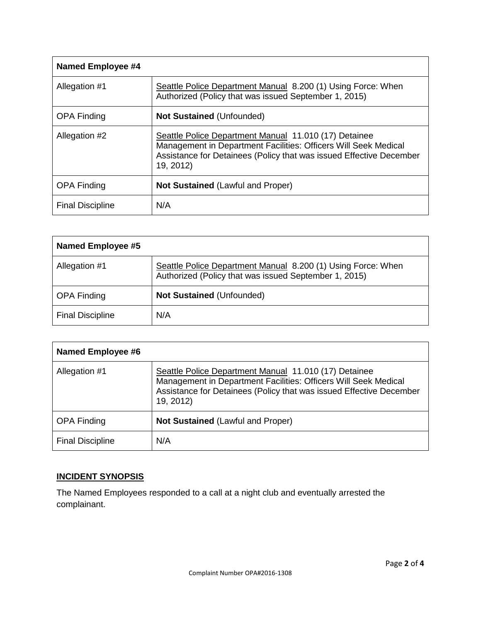| <b>Named Employee #4</b> |                                                                                                                                                                                                              |
|--------------------------|--------------------------------------------------------------------------------------------------------------------------------------------------------------------------------------------------------------|
| Allegation #1            | Seattle Police Department Manual 8.200 (1) Using Force: When<br>Authorized (Policy that was issued September 1, 2015)                                                                                        |
| <b>OPA Finding</b>       | <b>Not Sustained (Unfounded)</b>                                                                                                                                                                             |
| Allegation #2            | Seattle Police Department Manual 11.010 (17) Detainee<br>Management in Department Facilities: Officers Will Seek Medical<br>Assistance for Detainees (Policy that was issued Effective December<br>19, 2012) |
| <b>OPA Finding</b>       | <b>Not Sustained (Lawful and Proper)</b>                                                                                                                                                                     |
| <b>Final Discipline</b>  | N/A                                                                                                                                                                                                          |

| <b>Named Employee #5</b> |                                                                                                                       |
|--------------------------|-----------------------------------------------------------------------------------------------------------------------|
| Allegation #1            | Seattle Police Department Manual 8.200 (1) Using Force: When<br>Authorized (Policy that was issued September 1, 2015) |
| <b>OPA Finding</b>       | <b>Not Sustained (Unfounded)</b>                                                                                      |
| <b>Final Discipline</b>  | N/A                                                                                                                   |

| <b>Named Employee #6</b> |                                                                                                                                                                                                              |
|--------------------------|--------------------------------------------------------------------------------------------------------------------------------------------------------------------------------------------------------------|
| Allegation #1            | Seattle Police Department Manual 11.010 (17) Detainee<br>Management in Department Facilities: Officers Will Seek Medical<br>Assistance for Detainees (Policy that was issued Effective December<br>19, 2012) |
| <b>OPA Finding</b>       | <b>Not Sustained (Lawful and Proper)</b>                                                                                                                                                                     |
| <b>Final Discipline</b>  | N/A                                                                                                                                                                                                          |

# **INCIDENT SYNOPSIS**

The Named Employees responded to a call at a night club and eventually arrested the complainant.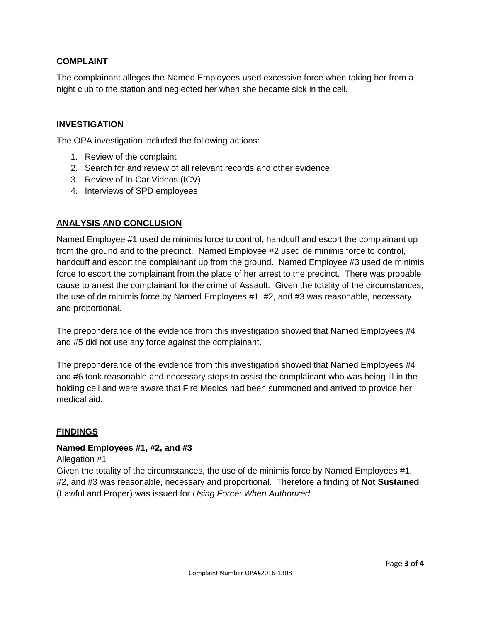# **COMPLAINT**

The complainant alleges the Named Employees used excessive force when taking her from a night club to the station and neglected her when she became sick in the cell.

## **INVESTIGATION**

The OPA investigation included the following actions:

- 1. Review of the complaint
- 2. Search for and review of all relevant records and other evidence
- 3. Review of In-Car Videos (ICV)
- 4. Interviews of SPD employees

# **ANALYSIS AND CONCLUSION**

Named Employee #1 used de minimis force to control, handcuff and escort the complainant up from the ground and to the precinct. Named Employee #2 used de minimis force to control, handcuff and escort the complainant up from the ground. Named Employee #3 used de minimis force to escort the complainant from the place of her arrest to the precinct. There was probable cause to arrest the complainant for the crime of Assault. Given the totality of the circumstances, the use of de minimis force by Named Employees #1, #2, and #3 was reasonable, necessary and proportional.

The preponderance of the evidence from this investigation showed that Named Employees #4 and #5 did not use any force against the complainant.

The preponderance of the evidence from this investigation showed that Named Employees #4 and #6 took reasonable and necessary steps to assist the complainant who was being ill in the holding cell and were aware that Fire Medics had been summoned and arrived to provide her medical aid.

## **FINDINGS**

## **Named Employees #1, #2, and #3**

Allegation #1

Given the totality of the circumstances, the use of de minimis force by Named Employees #1, #2, and #3 was reasonable, necessary and proportional. Therefore a finding of **Not Sustained** (Lawful and Proper) was issued for *Using Force: When Authorized*.